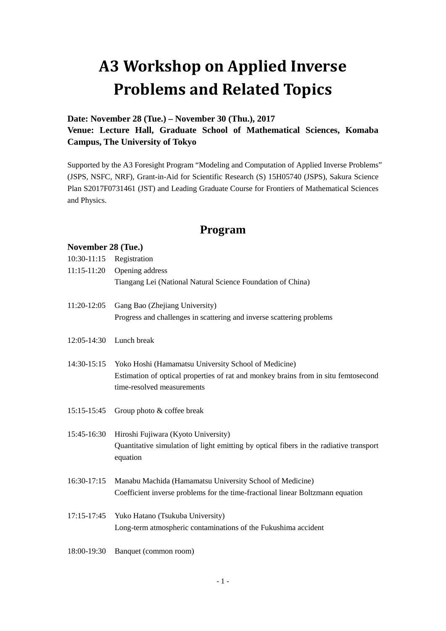# **A3 Workshop on Applied Inverse Problems and Related Topics**

# **Date: November 28 (Tue.) – November 30 (Thu.), 2017 Venue: Lecture Hall, Graduate School of Mathematical Sciences, Komaba Campus, The University of Tokyo**

Supported by the A3 Foresight Program "Modeling and Computation of Applied Inverse Problems" (JSPS, NSFC, NRF), Grant-in-Aid for Scientific Research (S) 15H05740 (JSPS), Sakura Science Plan S2017F0731461 (JST) and Leading Graduate Course for Frontiers of Mathematical Sciences and Physics.

# **Program**

#### **November 28 (Tue.)**

| Opening address                                                                                    |
|----------------------------------------------------------------------------------------------------|
| Tiangang Lei (National Natural Science Foundation of China)                                        |
| Gang Bao (Zhejiang University)                                                                     |
| Progress and challenges in scattering and inverse scattering problems                              |
| Lunch break                                                                                        |
| Yoko Hoshi (Hamamatsu University School of Medicine)                                               |
| Estimation of optical properties of rat and monkey brains from in situ femtosecond                 |
| time-resolved measurements                                                                         |
| Group photo & coffee break                                                                         |
| Hiroshi Fujiwara (Kyoto University)                                                                |
| Quantitative simulation of light emitting by optical fibers in the radiative transport<br>equation |
| Manabu Machida (Hamamatsu University School of Medicine)                                           |
| Coefficient inverse problems for the time-fractional linear Boltzmann equation                     |
| Yuko Hatano (Tsukuba University)                                                                   |
| Long-term atmospheric contaminations of the Fukushima accident                                     |
| Banquet (common room)                                                                              |
|                                                                                                    |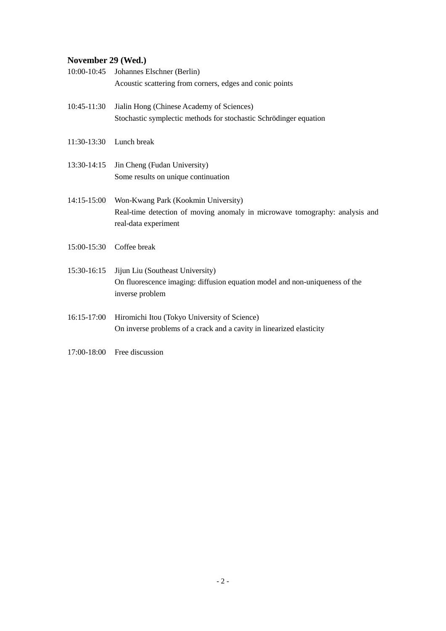# **November 29 (Wed.)**

| 10:00-10:45   | Johannes Elschner (Berlin)                                                                          |
|---------------|-----------------------------------------------------------------------------------------------------|
|               | Acoustic scattering from corners, edges and conic points                                            |
| 10:45-11:30   | Jialin Hong (Chinese Academy of Sciences)                                                           |
|               | Stochastic symplectic methods for stochastic Schrödinger equation                                   |
| 11:30-13:30   | Lunch break                                                                                         |
| 13:30-14:15   | Jin Cheng (Fudan University)                                                                        |
|               | Some results on unique continuation                                                                 |
| $14:15-15:00$ | Won-Kwang Park (Kookmin University)                                                                 |
|               | Real-time detection of moving anomaly in microwave tomography: analysis and<br>real-data experiment |
| 15:00-15:30   | Coffee break                                                                                        |
| 15:30-16:15   | Jijun Liu (Southeast University)                                                                    |
|               | On fluorescence imaging: diffusion equation model and non-uniqueness of the<br>inverse problem      |
| 16:15-17:00   | Hiromichi Itou (Tokyo University of Science)                                                        |
|               | On inverse problems of a crack and a cavity in linearized elasticity                                |
| 17:00-18:00   | Free discussion                                                                                     |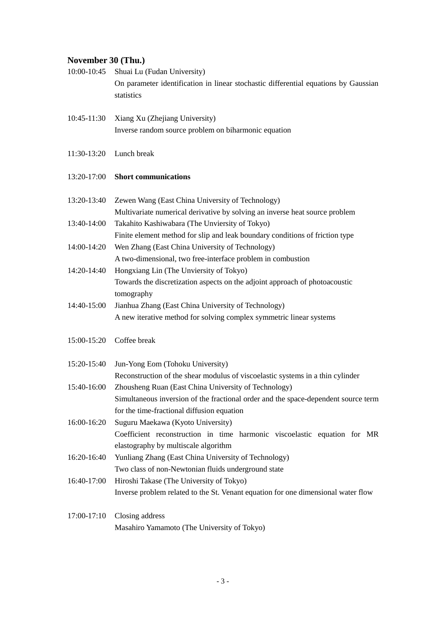### **November 30 (Thu.)**

| 10:00-10:45 | Shuai Lu (Fudan University)                                                         |
|-------------|-------------------------------------------------------------------------------------|
|             | On parameter identification in linear stochastic differential equations by Gaussian |
|             | statistics                                                                          |
|             |                                                                                     |
| 10:45-11:30 | Xiang Xu (Zhejiang University)                                                      |
|             | Inverse random source problem on biharmonic equation                                |
|             |                                                                                     |
|             | 11:30-13:20 Lunch break                                                             |
|             |                                                                                     |
| 13:20-17:00 | <b>Short communications</b>                                                         |
|             |                                                                                     |
| 13:20-13:40 | Zewen Wang (East China University of Technology)                                    |
|             | Multivariate numerical derivative by solving an inverse heat source problem         |
| 13:40-14:00 | Takahito Kashiwabara (The Unviersity of Tokyo)                                      |
|             | Finite element method for slip and leak boundary conditions of friction type        |
| 14:00-14:20 | Wen Zhang (East China University of Technology)                                     |
|             | A two-dimensional, two free-interface problem in combustion                         |
| 14:20-14:40 | Hongxiang Lin (The Unviersity of Tokyo)                                             |
|             | Towards the discretization aspects on the adjoint approach of photoacoustic         |
|             | tomography                                                                          |
| 14:40-15:00 | Jianhua Zhang (East China University of Technology)                                 |
|             | A new iterative method for solving complex symmetric linear systems                 |
|             |                                                                                     |
| 15:00-15:20 | Coffee break                                                                        |
|             |                                                                                     |
| 15:20-15:40 | Jun-Yong Eom (Tohoku University)                                                    |
|             | Reconstruction of the shear modulus of viscoelastic systems in a thin cylinder      |
| 15:40-16:00 | Zhousheng Ruan (East China University of Technology)                                |
|             | Simultaneous inversion of the fractional order and the space-dependent source term  |
|             | for the time-fractional diffusion equation                                          |
| 16:00-16:20 | Suguru Maekawa (Kyoto University)                                                   |
|             | Coefficient reconstruction in time harmonic viscoelastic equation for MR            |
|             | elastography by multiscale algorithm                                                |
| 16:20-16:40 | Yunliang Zhang (East China University of Technology)                                |
|             | Two class of non-Newtonian fluids underground state                                 |
| 16:40-17:00 | Hiroshi Takase (The University of Tokyo)                                            |
|             | Inverse problem related to the St. Venant equation for one dimensional water flow   |
|             |                                                                                     |
| 17:00-17:10 | Closing address                                                                     |
|             | Masahiro Yamamoto (The University of Tokyo)                                         |